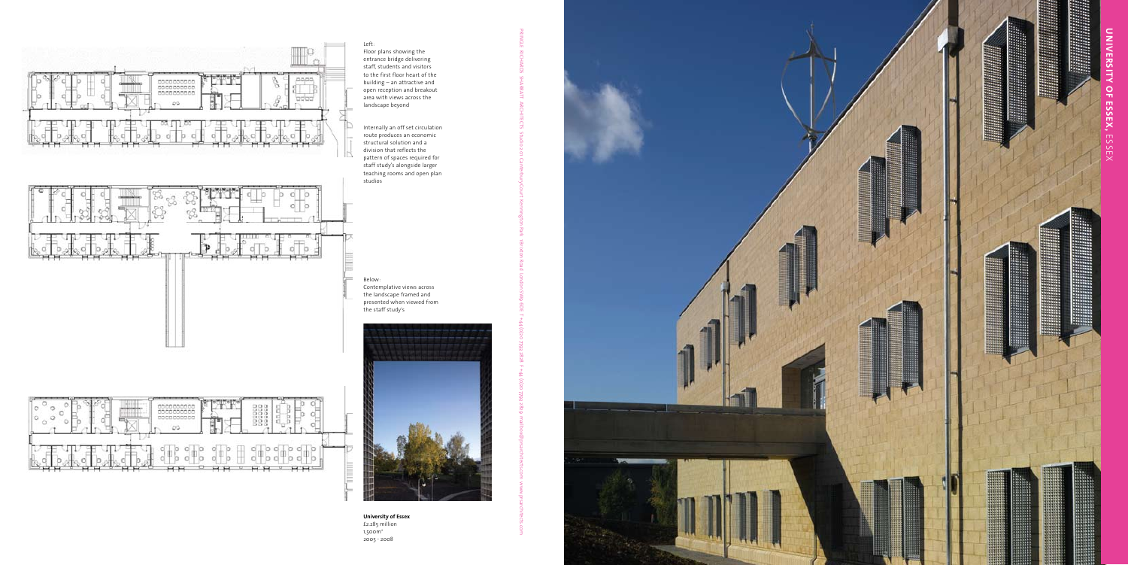

**University of Essex** £2.285 million 1,500m 2 2005 - 2008



Left: Floor plans showing the entrance bridge delivering staff, students and visitors to the first floor heart of the building – an attractive and open reception and breakout area with views across the landscape beyond

Internally an off set circulation route produces an economic structural solution and a division that reflects the pattern of spaces required for staff study's alongside larger teaching rooms and open plan studios



Below: Contemplative views across the landscape framed and presented when viewed from the staff study's